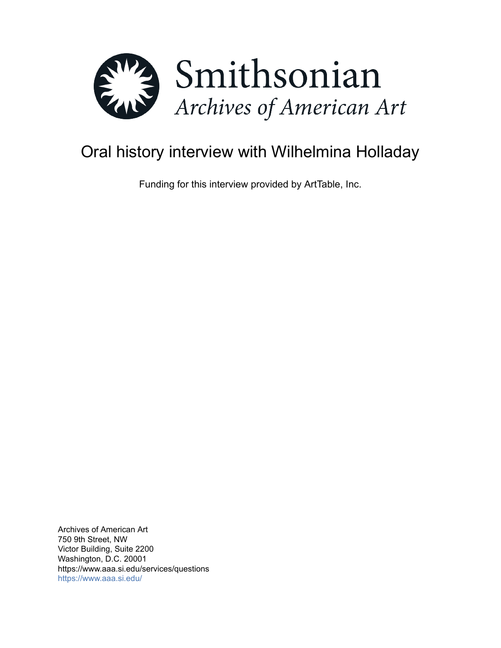

# Oral history interview with Wilhelmina Holladay

Funding for this interview provided by ArtTable, Inc.

Archives of American Art 750 9th Street, NW Victor Building, Suite 2200 Washington, D.C. 20001 https://www.aaa.si.edu/services/questions <https://www.aaa.si.edu/>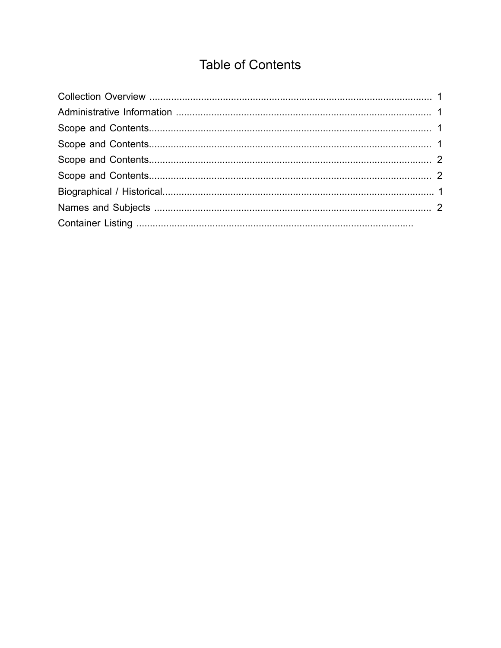# **Table of Contents**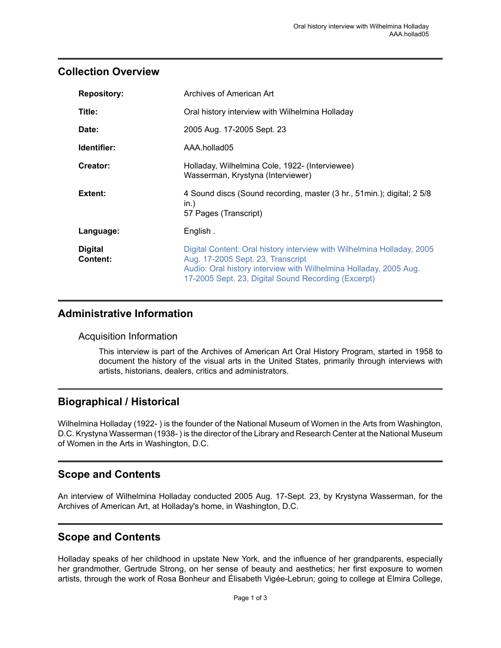#### <span id="page-2-0"></span>**Collection Overview**

| <b>Repository:</b> | Archives of American Art                                                                                 |
|--------------------|----------------------------------------------------------------------------------------------------------|
| Title:             | Oral history interview with Wilhelmina Holladay                                                          |
| Date:              | 2005 Aug. 17-2005 Sept. 23                                                                               |
| Identifier:        | AAA.hollad05                                                                                             |
| Creator:           | Holladay, Wilhelmina Cole, 1922- (Interviewee)<br>Wasserman, Krystyna (Interviewer)                      |
|                    |                                                                                                          |
| Extent:            | 4 Sound discs (Sound recording, master (3 hr., 51 min.); digital; 2 5/8<br>in.)<br>57 Pages (Transcript) |
| Language:          | English.                                                                                                 |

### <span id="page-2-1"></span>**Administrative Information**

#### Acquisition Information

This interview is part of the Archives of American Art Oral History Program, started in 1958 to document the history of the visual arts in the United States, primarily through interviews with artists, historians, dealers, critics and administrators.

### <span id="page-2-4"></span>**Biographical / Historical**

Wilhelmina Holladay (1922- ) is the founder of the National Museum of Women in the Arts from Washington, D.C. Krystyna Wasserman (1938-) is the director of the Library and Research Center at the National Museum of Women in the Arts in Washington, D.C.

### <span id="page-2-2"></span>**Scope and Contents**

An interview of Wilhelmina Holladay conducted 2005 Aug. 17-Sept. 23, by Krystyna Wasserman, for the Archives of American Art, at Holladay's home, in Washington, D.C.

### <span id="page-2-3"></span>**Scope and Contents**

Holladay speaks of her childhood in upstate New York, and the influence of her grandparents, especially her grandmother, Gertrude Strong, on her sense of beauty and aesthetics; her first exposure to women artists, through the work of Rosa Bonheur and Élisabeth Vigée-Lebrun; going to college at Elmira College,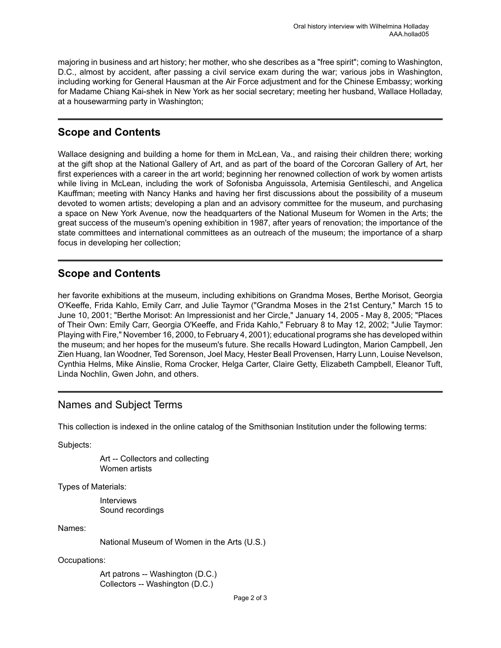majoring in business and art history; her mother, who she describes as a "free spirit"; coming to Washington, D.C., almost by accident, after passing a civil service exam during the war; various jobs in Washington, including working for General Hausman at the Air Force adjustment and for the Chinese Embassy; working for Madame Chiang Kai-shek in New York as her social secretary; meeting her husband, Wallace Holladay, at a housewarming party in Washington;

# <span id="page-3-0"></span>**Scope and Contents**

Wallace designing and building a home for them in McLean, Va., and raising their children there; working at the gift shop at the National Gallery of Art, and as part of the board of the Corcoran Gallery of Art, her first experiences with a career in the art world; beginning her renowned collection of work by women artists while living in McLean, including the work of Sofonisba Anguissola, Artemisia Gentileschi, and Angelica Kauffman; meeting with Nancy Hanks and having her first discussions about the possibility of a museum devoted to women artists; developing a plan and an advisory committee for the museum, and purchasing a space on New York Avenue, now the headquarters of the National Museum for Women in the Arts; the great success of the museum's opening exhibition in 1987, after years of renovation; the importance of the state committees and international committees as an outreach of the museum; the importance of a sharp focus in developing her collection;

## <span id="page-3-1"></span>**Scope and Contents**

her favorite exhibitions at the museum, including exhibitions on Grandma Moses, Berthe Morisot, Georgia O'Keeffe, Frida Kahlo, Emily Carr, and Julie Taymor ("Grandma Moses in the 21st Century," March 15 to June 10, 2001; "Berthe Morisot: An Impressionist and her Circle," January 14, 2005 - May 8, 2005; "Places of Their Own: Emily Carr, Georgia O'Keeffe, and Frida Kahlo," February 8 to May 12, 2002; "Julie Taymor: Playing with Fire," November 16, 2000, to February 4, 2001); educational programs she has developed within the museum; and her hopes for the museum's future. She recalls Howard Ludington, Marion Campbell, Jen Zien Huang, Ian Woodner, Ted Sorenson, Joel Macy, Hester Beall Provensen, Harry Lunn, Louise Nevelson, Cynthia Helms, Mike Ainslie, Roma Crocker, Helga Carter, Claire Getty, Elizabeth Campbell, Eleanor Tuft, Linda Nochlin, Gwen John, and others.

#### <span id="page-3-2"></span>Names and Subject Terms

This collection is indexed in the online catalog of the Smithsonian Institution under the following terms:

Subjects:

Art -- Collectors and collecting Women artists

Types of Materials:

Interviews Sound recordings

Names:

National Museum of Women in the Arts (U.S.)

Occupations:

Art patrons -- Washington (D.C.) Collectors -- Washington (D.C.)